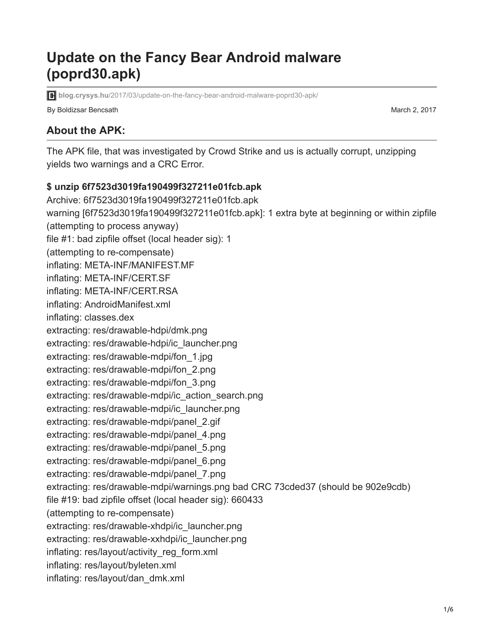# **Update on the Fancy Bear Android malware (poprd30.apk)**

**blog.crysys.hu**[/2017/03/update-on-the-fancy-bear-android-malware-poprd30-apk/](http://blog.crysys.hu/2017/03/update-on-the-fancy-bear-android-malware-poprd30-apk/)

By Boldizsar Bencsath March 2, 2017

**About the APK:**

The APK file, that was investigated by Crowd Strike and us is actually corrupt, unzipping yields two warnings and a CRC Error.

#### **\$ unzip 6f7523d3019fa190499f327211e01fcb.apk**

Archive: 6f7523d3019fa190499f327211e01fcb.apk warning [6f7523d3019fa190499f327211e01fcb.apk]: 1 extra byte at beginning or within zipfile (attempting to process anyway) file #1: bad zipfile offset (local header sig): 1 (attempting to re-compensate) inflating: META-INF/MANIFEST.MF inflating: META-INF/CERT.SF inflating: META-INF/CERT.RSA inflating: AndroidManifest.xml inflating: classes.dex extracting: res/drawable-hdpi/dmk.png extracting: res/drawable-hdpi/ic\_launcher.png extracting: res/drawable-mdpi/fon\_1.jpg extracting: res/drawable-mdpi/fon\_2.png extracting: res/drawable-mdpi/fon\_3.png extracting: res/drawable-mdpi/ic\_action\_search.png extracting: res/drawable-mdpi/ic\_launcher.png extracting: res/drawable-mdpi/panel\_2.gif extracting: res/drawable-mdpi/panel\_4.png extracting: res/drawable-mdpi/panel\_5.png extracting: res/drawable-mdpi/panel\_6.png extracting: res/drawable-mdpi/panel\_7.png extracting: res/drawable-mdpi/warnings.png bad CRC 73cded37 (should be 902e9cdb) file #19: bad zipfile offset (local header sig): 660433 (attempting to re-compensate) extracting: res/drawable-xhdpi/ic\_launcher.png extracting: res/drawable-xxhdpi/ic\_launcher.png inflating: res/layout/activity\_reg\_form.xml inflating: res/layout/byleten.xml inflating: res/layout/dan\_dmk.xml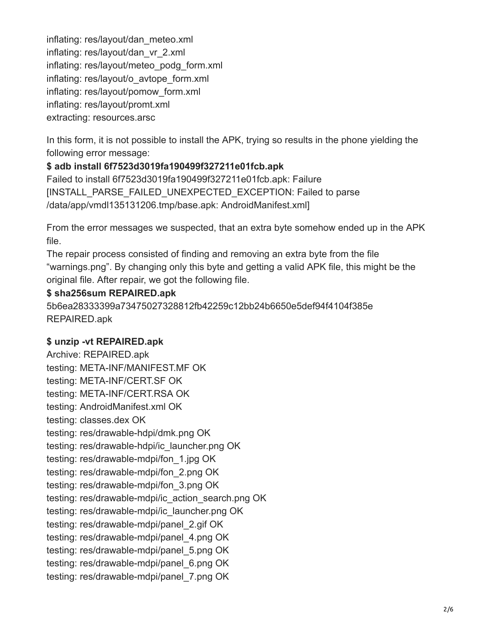inflating: res/layout/dan\_meteo.xml inflating: res/layout/dan\_vr\_2.xml inflating: res/layout/meteo\_podg\_form.xml inflating: res/layout/o\_avtope\_form.xml inflating: res/layout/pomow\_form.xml inflating: res/layout/promt.xml extracting: resources.arsc

In this form, it is not possible to install the APK, trying so results in the phone yielding the following error message:

## **\$ adb install 6f7523d3019fa190499f327211e01fcb.apk**

Failed to install 6f7523d3019fa190499f327211e01fcb.apk: Failure [INSTALL\_PARSE\_FAILED\_UNEXPECTED\_EXCEPTION: Failed to parse /data/app/vmdl135131206.tmp/base.apk: AndroidManifest.xml]

From the error messages we suspected, that an extra byte somehow ended up in the APK file.

The repair process consisted of finding and removing an extra byte from the file "warnings.png". By changing only this byte and getting a valid APK file, this might be the original file. After repair, we got the following file.

### **\$ sha256sum REPAIRED.apk**

5b6ea28333399a73475027328812fb42259c12bb24b6650e5def94f4104f385e REPAIRED.apk

### **\$ unzip -vt REPAIRED.apk**

Archive: REPAIRED.apk testing: META-INF/MANIFEST.MF OK testing: META-INF/CERT.SF OK testing: META-INF/CERT.RSA OK testing: AndroidManifest.xml OK testing: classes.dex OK testing: res/drawable-hdpi/dmk.png OK testing: res/drawable-hdpi/ic\_launcher.png OK testing: res/drawable-mdpi/fon\_1.jpg OK testing: res/drawable-mdpi/fon\_2.png OK testing: res/drawable-mdpi/fon\_3.png OK testing: res/drawable-mdpi/ic\_action\_search.png OK testing: res/drawable-mdpi/ic\_launcher.png OK testing: res/drawable-mdpi/panel\_2.gif OK testing: res/drawable-mdpi/panel\_4.png OK testing: res/drawable-mdpi/panel\_5.png OK testing: res/drawable-mdpi/panel\_6.png OK testing: res/drawable-mdpi/panel\_7.png OK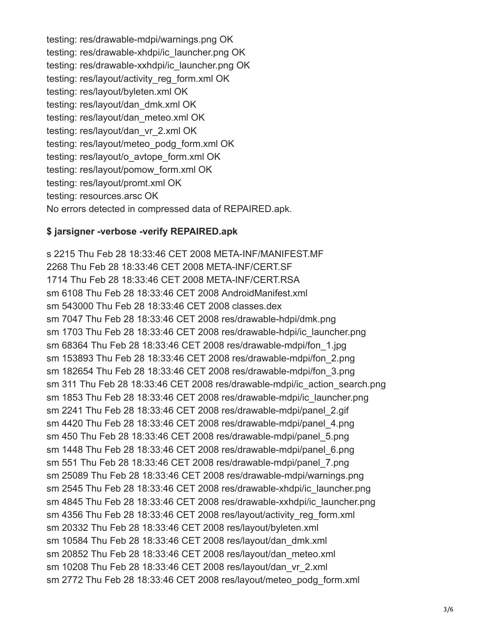testing: res/drawable-mdpi/warnings.png OK testing: res/drawable-xhdpi/ic\_launcher.png OK testing: res/drawable-xxhdpi/ic\_launcher.png OK testing: res/layout/activity\_reg\_form.xml OK testing: res/layout/byleten.xml OK testing: res/layout/dan\_dmk.xml OK testing: res/layout/dan\_meteo.xml OK testing: res/layout/dan\_vr\_2.xml OK testing: res/layout/meteo\_podg\_form.xml OK testing: res/layout/o\_avtope\_form.xml OK testing: res/layout/pomow\_form.xml OK testing: res/layout/promt.xml OK testing: resources.arsc OK No errors detected in compressed data of REPAIRED.apk.

#### **\$ jarsigner -verbose -verify REPAIRED.apk**

s 2215 Thu Feb 28 18:33:46 CET 2008 META-INF/MANIFEST.MF 2268 Thu Feb 28 18:33:46 CET 2008 META-INF/CERT.SF 1714 Thu Feb 28 18:33:46 CET 2008 META-INF/CERT.RSA sm 6108 Thu Feb 28 18:33:46 CET 2008 AndroidManifest.xml sm 543000 Thu Feb 28 18:33:46 CET 2008 classes.dex sm 7047 Thu Feb 28 18:33:46 CET 2008 res/drawable-hdpi/dmk.png sm 1703 Thu Feb 28 18:33:46 CET 2008 res/drawable-hdpi/ic\_launcher.png sm 68364 Thu Feb 28 18:33:46 CET 2008 res/drawable-mdpi/fon\_1.jpg sm 153893 Thu Feb 28 18:33:46 CET 2008 res/drawable-mdpi/fon\_2.png sm 182654 Thu Feb 28 18:33:46 CET 2008 res/drawable-mdpi/fon\_3.png sm 311 Thu Feb 28 18:33:46 CET 2008 res/drawable-mdpi/ic\_action\_search.png sm 1853 Thu Feb 28 18:33:46 CET 2008 res/drawable-mdpi/ic\_launcher.png sm 2241 Thu Feb 28 18:33:46 CET 2008 res/drawable-mdpi/panel\_2.gif sm 4420 Thu Feb 28 18:33:46 CET 2008 res/drawable-mdpi/panel\_4.png sm 450 Thu Feb 28 18:33:46 CET 2008 res/drawable-mdpi/panel\_5.png sm 1448 Thu Feb 28 18:33:46 CET 2008 res/drawable-mdpi/panel\_6.png sm 551 Thu Feb 28 18:33:46 CET 2008 res/drawable-mdpi/panel\_7.png sm 25089 Thu Feb 28 18:33:46 CET 2008 res/drawable-mdpi/warnings.png sm 2545 Thu Feb 28 18:33:46 CET 2008 res/drawable-xhdpi/ic\_launcher.png sm 4845 Thu Feb 28 18:33:46 CET 2008 res/drawable-xxhdpi/ic\_launcher.png sm 4356 Thu Feb 28 18:33:46 CET 2008 res/layout/activity reg\_form.xml sm 20332 Thu Feb 28 18:33:46 CET 2008 res/layout/byleten.xml sm 10584 Thu Feb 28 18:33:46 CET 2008 res/layout/dan\_dmk.xml sm 20852 Thu Feb 28 18:33:46 CET 2008 res/layout/dan\_meteo.xml sm 10208 Thu Feb 28 18:33:46 CET 2008 res/layout/dan\_vr\_2.xml sm 2772 Thu Feb 28 18:33:46 CET 2008 res/layout/meteo\_podg\_form.xml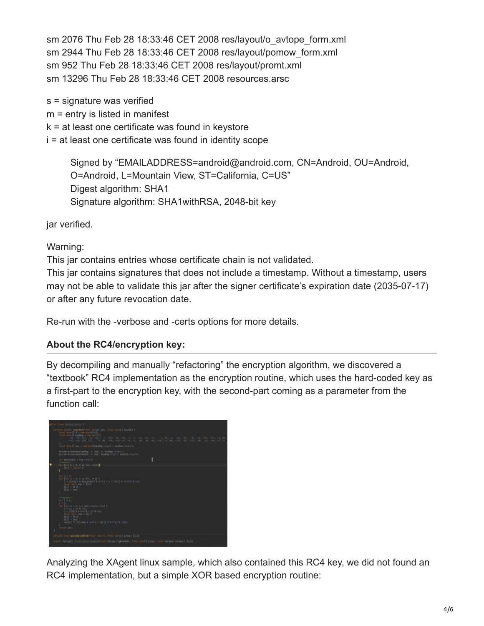sm 2076 Thu Feb 28 18:33:46 CET 2008 res/layout/o\_avtope\_form.xml sm 2944 Thu Feb 28 18:33:46 CET 2008 res/layout/pomow\_form.xml sm 952 Thu Feb 28 18:33:46 CET 2008 res/layout/promt.xml sm 13296 Thu Feb 28 18:33:46 CET 2008 resources.arsc

s = signature was verified m = entry is listed in manifest k = at least one certificate was found in keystore i = at least one certificate was found in identity scope

> Signed by "EMAILADDRESS=android@android.com, CN=Android, OU=Android, O=Android, L=Mountain View, ST=California, C=US" Digest algorithm: SHA1 Signature algorithm: SHA1withRSA, 2048-bit key

jar verified.

## Warning:

This jar contains entries whose certificate chain is not validated.

This jar contains signatures that does not include a timestamp. Without a timestamp, users may not be able to validate this jar after the signer certificate's expiration date (2035-07-17) or after any future revocation date.

Re-run with the -verbose and -certs options for more details.

## **About the RC4/encryption key:**

By decompiling and manually "refactoring" the encryption algorithm, we discovered a "[textbook](https://en.wikipedia.org/wiki/RC4#Key-scheduling_algorithm_.28KSA.29)" RC4 implementation as the encryption routine, which uses the hard-coded key as a first-part to the encryption key, with the second-part coming as a parameter from the function call:



Analyzing the XAgent linux sample, which also contained this RC4 key, we did not found an RC4 implementation, but a simple XOR based encryption routine: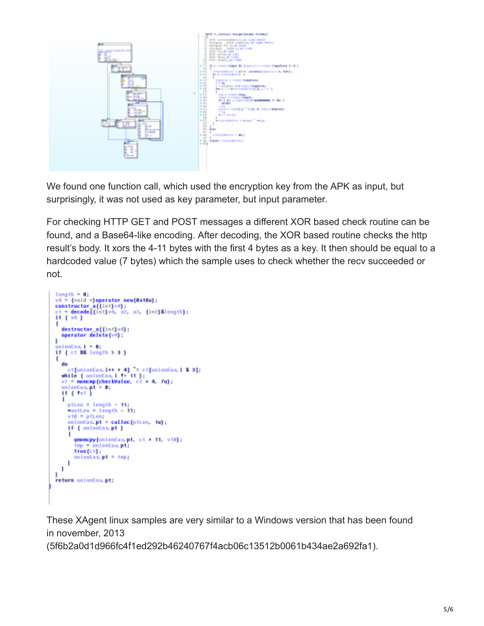

We found one function call, which used the encryption key from the APK as input, but surprisingly, it was not used as key parameter, but input parameter.

For checking HTTP GET and POST messages a different XOR based check routine can be found, and a Base64-like encoding. After decoding, the XOR based routine checks the http result's body. It xors the 4-11 bytes with the first 4 bytes as a key. It then should be equal to a hardcoded value (7 bytes) which the sample uses to check whether the recv succeeded or not.

```
length = 0:<br>v4 = \{\text{void s\}\text{operator new(0x18u)}:\<br>constructor a((int)v4):<br>ct = decode((int)v4, a2, a3, (int)&length):<br>if (v4)
€
   destructor_a{{int}v4};<br>operator delete{v4};
١
   nionEax.i = 0:
if ( ct 88 length > 3 )
 ŧ
   do<br>
et[unionEax.i++ + 4] ^= ct[unionEax.i & 3];<br>
while ( unionEax.i += 11 );<br>
v7 = nencmp(checkValue, ct + 4, 7u);<br>
unionEax.pt = 0;<br>
if ( +v7 )
    do
    .
       ptien = length = 11;<br>moutien = length = 11;
       v10 = ptLen;
       unionEax.pt = calloc(ptien, 1u);<br>if ( unionEax.pt )
            qmemcpy(unionEax.pt, ct + 11, v10);
            tmp = unionEax.pt;
           free(ct);
           unionEx. pt = tp;J.
   1
return unionEax.pt;
```
These XAgent linux samples are very similar to a Windows version that has been found in november, 2013

(5f6b2a0d1d966fc4f1ed292b46240767f4acb06c13512b0061b434ae2a692fa1).